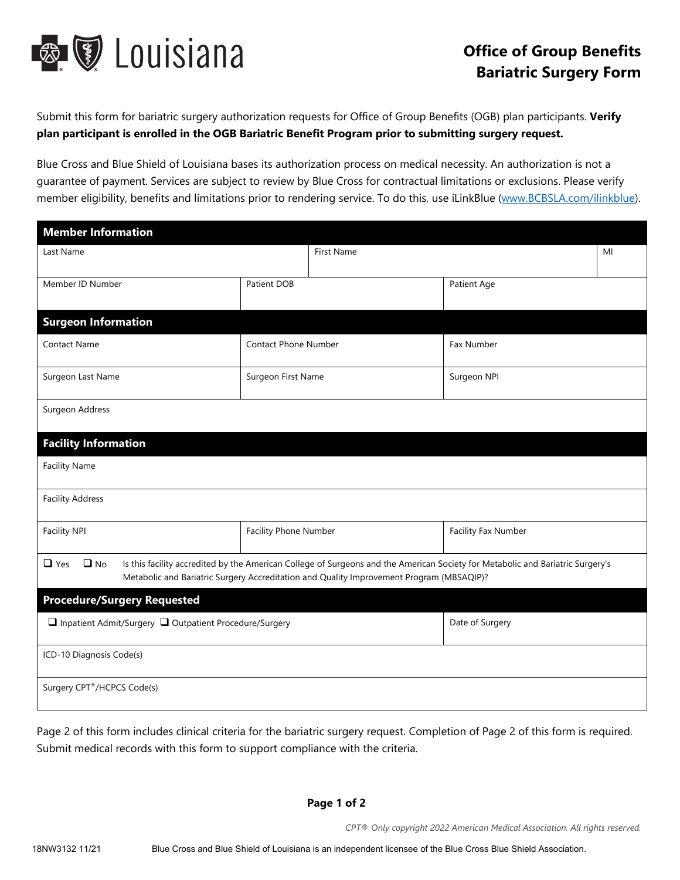

## **Office of Group Benefits Bariatric Surgery Form**

Submit this form for bariatric surgery authorization requests for Office of Group Benefits (OGB) plan participants. **Verify plan participant is enrolled in the OGB Bariatric Benefit Program prior to submitting surgery request.**

Blue Cross and Blue Shield of Louisiana bases its authorization process on medical necessity. An authorization is not a guarantee of payment. Services are subject to review by Blue Cross for contractual limitations or exclusions. Please verify member eligibility, benefits and limitations prior to rendering service. To do this, use iLinkBlue (www.BCBSLA.com/ilinkblue).

| <b>Member Information</b>                                                                                                                                                                                                                             |                             |                   |                     |    |  |
|-------------------------------------------------------------------------------------------------------------------------------------------------------------------------------------------------------------------------------------------------------|-----------------------------|-------------------|---------------------|----|--|
| Last Name                                                                                                                                                                                                                                             |                             | <b>First Name</b> |                     | MI |  |
| Member ID Number                                                                                                                                                                                                                                      | Patient DOB                 |                   | Patient Age         |    |  |
| <b>Surgeon Information</b>                                                                                                                                                                                                                            |                             |                   |                     |    |  |
| <b>Contact Name</b>                                                                                                                                                                                                                                   | <b>Contact Phone Number</b> |                   | Fax Number          |    |  |
| Surgeon Last Name                                                                                                                                                                                                                                     | Surgeon First Name          |                   | Surgeon NPI         |    |  |
| Surgeon Address                                                                                                                                                                                                                                       |                             |                   |                     |    |  |
| <b>Facility Information</b>                                                                                                                                                                                                                           |                             |                   |                     |    |  |
| <b>Facility Name</b>                                                                                                                                                                                                                                  |                             |                   |                     |    |  |
| <b>Facility Address</b>                                                                                                                                                                                                                               |                             |                   |                     |    |  |
| <b>Facility NPI</b>                                                                                                                                                                                                                                   | Facility Phone Number       |                   | Facility Fax Number |    |  |
| $\Box$ No<br>Is this facility accredited by the American College of Surgeons and the American Society for Metabolic and Bariatric Surgery's<br>$\Box$ Yes<br>Metabolic and Bariatric Surgery Accreditation and Quality Improvement Program (MBSAQIP)? |                             |                   |                     |    |  |
| <b>Procedure/Surgery Requested</b>                                                                                                                                                                                                                    |                             |                   |                     |    |  |
| □ Inpatient Admit/Surgery □ Outpatient Procedure/Surgery                                                                                                                                                                                              |                             |                   | Date of Surgery     |    |  |
| ICD-10 Diagnosis Code(s)                                                                                                                                                                                                                              |                             |                   |                     |    |  |
| Surgery CPT®/HCPCS Code(s)                                                                                                                                                                                                                            |                             |                   |                     |    |  |

Page 2 of this form includes clinical criteria for the bariatric surgery request. Completion of Page 2 of this form is required. Submit medical records with this form to support compliance with the criteria.

**Page 1 of 2**

*CPT® Only copyright 2022 American Medical Association. All rights reserved.*